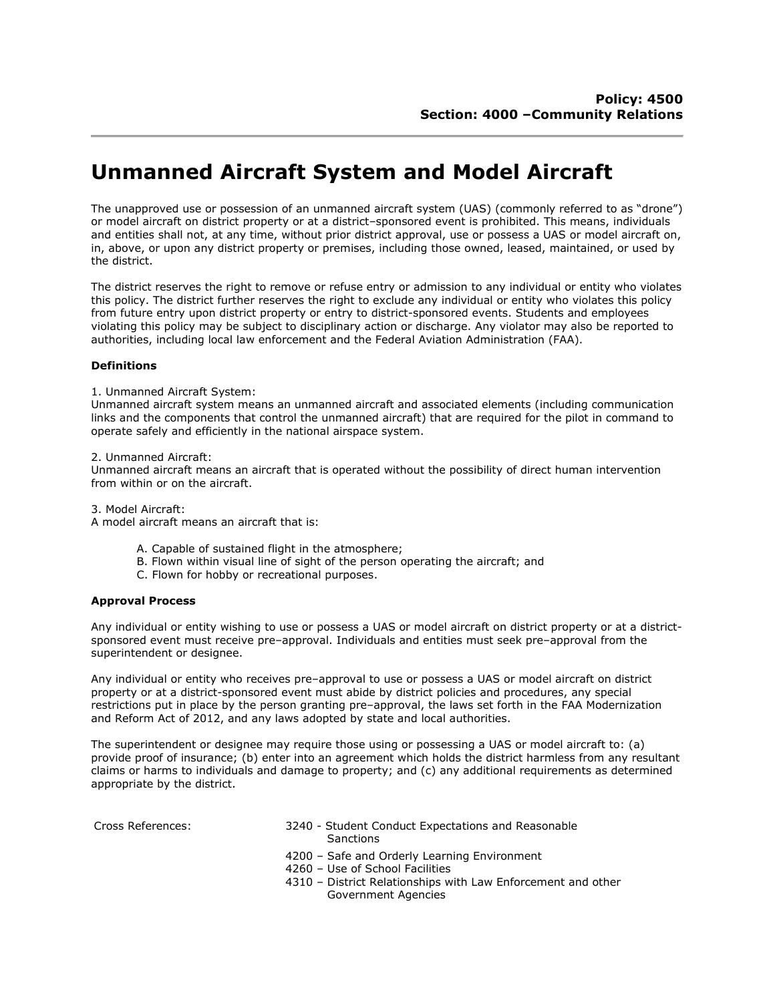# Unmanned Aircraft System and Model Aircraft

The unapproved use or possession of an unmanned aircraft system (UAS) (commonly referred to as "drone") or model aircraft on district property or at a district–sponsored event is prohibited. This means, individuals and entities shall not, at any time, without prior district approval, use or possess a UAS or model aircraft on, in, above, or upon any district property or premises, including those owned, leased, maintained, or used by the district.

The district reserves the right to remove or refuse entry or admission to any individual or entity who violates this policy. The district further reserves the right to exclude any individual or entity who violates this policy from future entry upon district property or entry to district-sponsored events. Students and employees violating this policy may be subject to disciplinary action or discharge. Any violator may also be reported to authorities, including local law enforcement and the Federal Aviation Administration (FAA).

## **Definitions**

### 1. Unmanned Aircraft System:

Unmanned aircraft system means an unmanned aircraft and associated elements (including communication links and the components that control the unmanned aircraft) that are required for the pilot in command to operate safely and efficiently in the national airspace system.

#### 2. Unmanned Aircraft:

Unmanned aircraft means an aircraft that is operated without the possibility of direct human intervention from within or on the aircraft.

3. Model Aircraft:

A model aircraft means an aircraft that is:

- A. Capable of sustained flight in the atmosphere;
- B. Flown within visual line of sight of the person operating the aircraft; and
- C. Flown for hobby or recreational purposes.

### Approval Process

Any individual or entity wishing to use or possess a UAS or model aircraft on district property or at a districtsponsored event must receive pre–approval. Individuals and entities must seek pre–approval from the superintendent or designee.

Any individual or entity who receives pre–approval to use or possess a UAS or model aircraft on district property or at a district-sponsored event must abide by district policies and procedures, any special restrictions put in place by the person granting pre–approval, the laws set forth in the FAA Modernization and Reform Act of 2012, and any laws adopted by state and local authorities.

The superintendent or designee may require those using or possessing a UAS or model aircraft to: (a) provide proof of insurance; (b) enter into an agreement which holds the district harmless from any resultant claims or harms to individuals and damage to property; and (c) any additional requirements as determined appropriate by the district.

- Cross References: 3240 Student Conduct Expectations and Reasonable **Sanctions** 
	- 4200 Safe and Orderly Learning Environment
	- 4260 Use of School Facilities
	- 4310 District Relationships with Law Enforcement and other Government Agencies